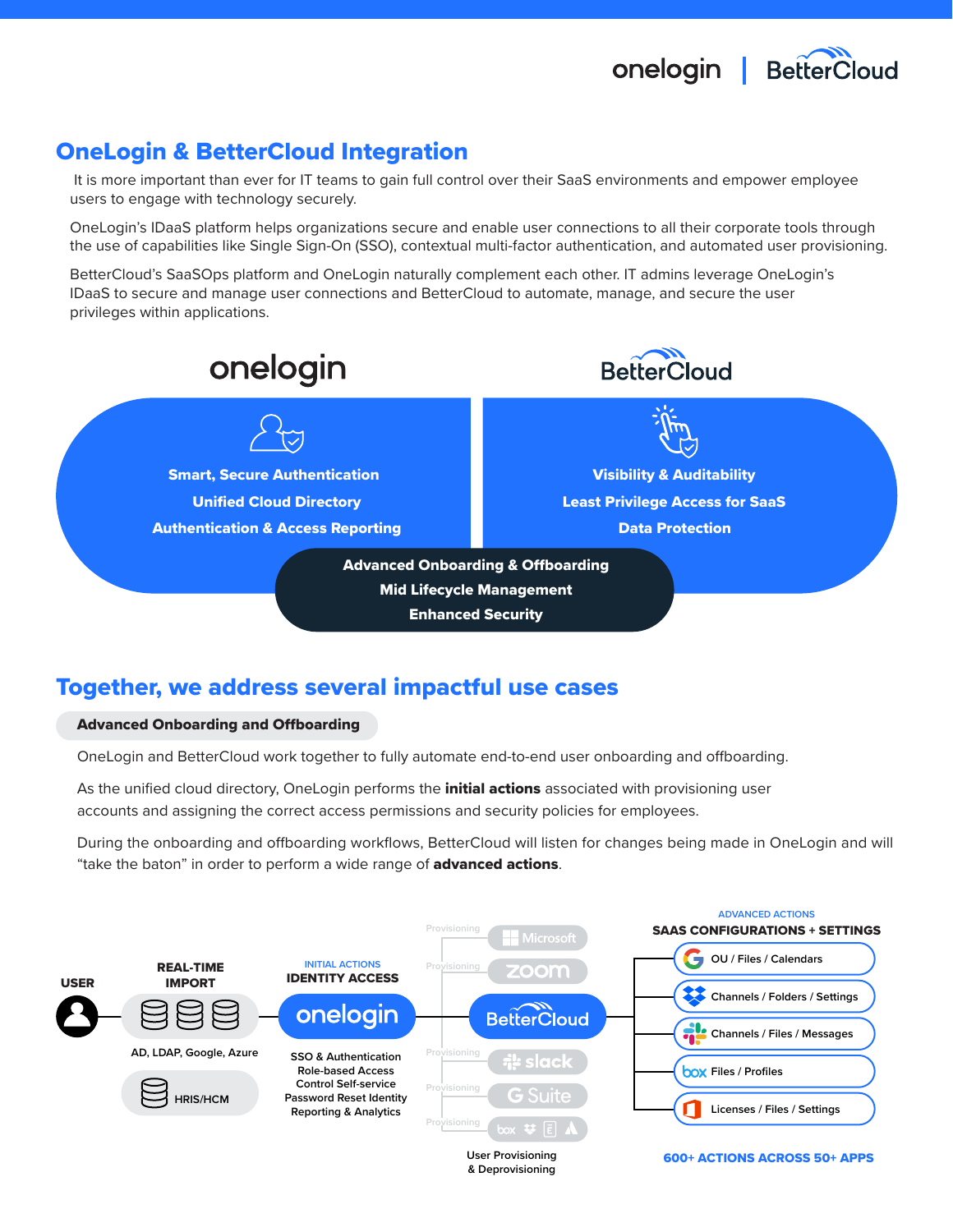onelogin | BetterCloud

# OneLogin & BetterCloud Integration

 It is more important than ever for IT teams to gain full control over their SaaS environments and empower employee users to engage with technology securely.

OneLogin's IDaaS platform helps organizations secure and enable user connections to all their corporate tools through the use of capabilities like Single Sign-On (SSO), contextual multi-factor authentication, and automated user provisioning.

BetterCloud's SaaSOps platform and OneLogin naturally complement each other. IT admins leverage OneLogin's IDaaS to secure and manage user connections and BetterCloud to automate, manage, and secure the user privileges within applications.



## Together, we address several impactful use cases

### Advanced Onboarding and Offboarding

OneLogin and BetterCloud work together to fully automate end-to-end user onboarding and offboarding.

As the unified cloud directory, OneLogin performs the *initial actions* associated with provisioning user accounts and assigning the correct access permissions and security policies for employees.

During the onboarding and offboarding workflows, BetterCloud will listen for changes being made in OneLogin and will "take the baton" in order to perform a wide range of **advanced actions**.

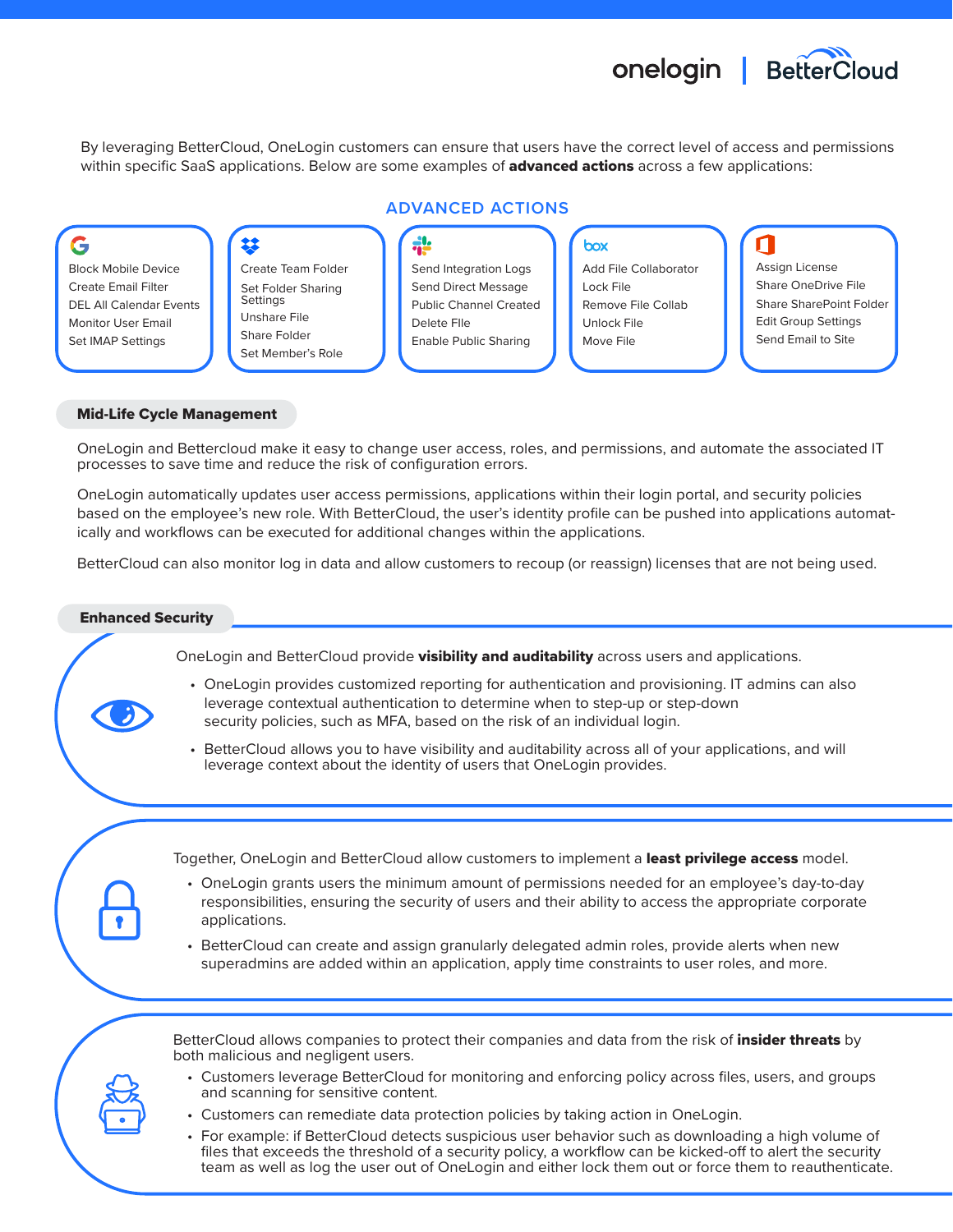# onelogin | BetterCloud

By leveraging BetterCloud, OneLogin customers can ensure that users have the correct level of access and permissions within specific SaaS applications. Below are some examples of **advanced actions** across a few applications:



#### Mid-Life Cycle Management

OneLogin and Bettercloud make it easy to change user access, roles, and permissions, and automate the associated IT processes to save time and reduce the risk of configuration errors.

OneLogin automatically updates user access permissions, applications within their login portal, and security policies based on the employee's new role. With BetterCloud, the user's identity profile can be pushed into applications automatically and workflows can be executed for additional changes within the applications.

BetterCloud can also monitor log in data and allow customers to recoup (or reassign) licenses that are not being used.